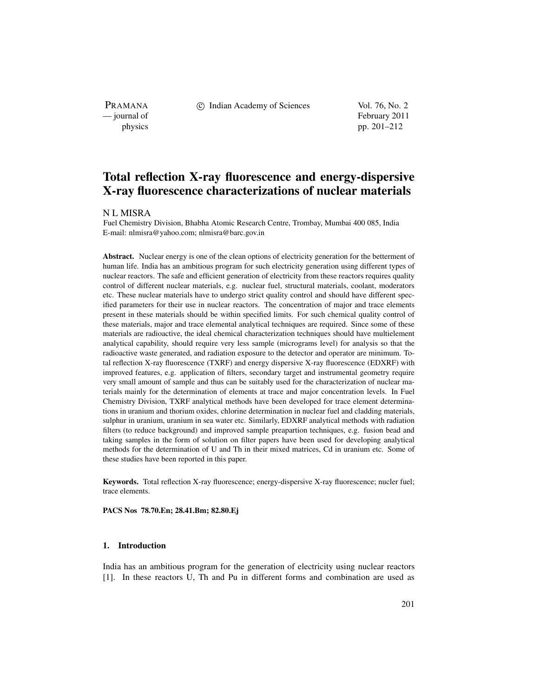PRAMANA<br>
— journal of

c Indian Academy of Sciences Vol. 76, No. 2

February 2011 physics pp. 201–212

# **Total reflection X-ray fluorescence and energy-dispersive X-ray fluorescence characterizations of nuclear materials**

# N L MISRA

Fuel Chemistry Division, Bhabha Atomic Research Centre, Trombay, Mumbai 400 085, India E-mail: nlmisra@yahoo.com; nlmisra@barc.gov.in

Abstract. Nuclear energy is one of the clean options of electricity generation for the betterment of human life. India has an ambitious program for such electricity generation using different types of nuclear reactors. The safe and efficient generation of electricity from these reactors requires quality control of different nuclear materials, e.g. nuclear fuel, structural materials, coolant, moderators etc. These nuclear materials have to undergo strict quality control and should have different specified parameters for their use in nuclear reactors. The concentration of major and trace elements present in these materials should be within specified limits. For such chemical quality control of these materials, major and trace elemental analytical techniques are required. Since some of these materials are radioactive, the ideal chemical characterization techniques should have multielement analytical capability, should require very less sample (micrograms level) for analysis so that the radioactive waste generated, and radiation exposure to the detector and operator are minimum. Total reflection X-ray fluorescence (TXRF) and energy dispersive X-ray fluorescence (EDXRF) with improved features, e.g. application of filters, secondary target and instrumental geometry require very small amount of sample and thus can be suitably used for the characterization of nuclear materials mainly for the determination of elements at trace and major concentration levels. In Fuel Chemistry Division, TXRF analytical methods have been developed for trace element determinations in uranium and thorium oxides, chlorine determination in nuclear fuel and cladding materials, sulphur in uranium, uranium in sea water etc. Similarly, EDXRF analytical methods with radiation filters (to reduce background) and improved sample preapartion techniques, e.g. fusion bead and taking samples in the form of solution on filter papers have been used for developing analytical methods for the determination of U and Th in their mixed matrices, Cd in uranium etc. Some of these studies have been reported in this paper.

**Keywords.** Total reflection X-ray fluorescence; energy-dispersive X-ray fluorescence; nucler fuel; trace elements.

**PACS Nos 78.70.En; 28.41.Bm; 82.80.Ej**

# **1. Introduction**

India has an ambitious program for the generation of electricity using nuclear reactors [1]. In these reactors U, Th and Pu in different forms and combination are used as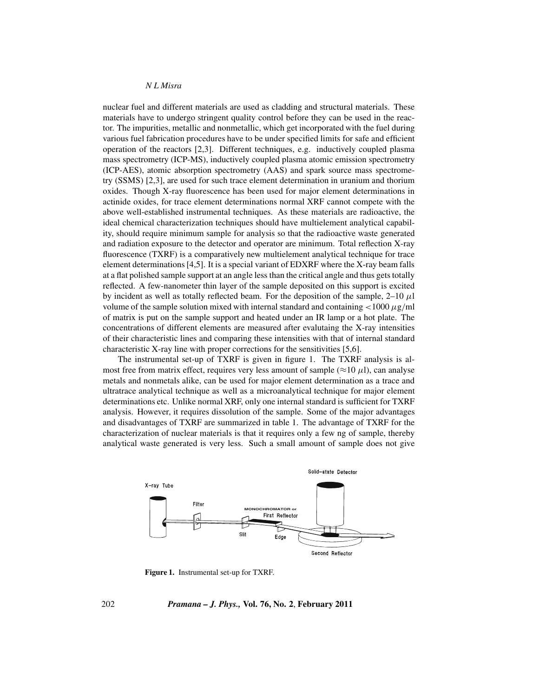nuclear fuel and different materials are used as cladding and structural materials. These materials have to undergo stringent quality control before they can be used in the reactor. The impurities, metallic and nonmetallic, which get incorporated with the fuel during various fuel fabrication procedures have to be under specified limits for safe and efficient operation of the reactors [2,3]. Different techniques, e.g. inductively coupled plasma mass spectrometry (ICP-MS), inductively coupled plasma atomic emission spectrometry (ICP-AES), atomic absorption spectrometry (AAS) and spark source mass spectrometry (SSMS) [2,3], are used for such trace element determination in uranium and thorium oxides. Though X-ray fluorescence has been used for major element determinations in actinide oxides, for trace element determinations normal XRF cannot compete with the above well-established instrumental techniques. As these materials are radioactive, the ideal chemical characterization techniques should have multielement analytical capability, should require minimum sample for analysis so that the radioactive waste generated and radiation exposure to the detector and operator are minimum. Total reflection X-ray fluorescence (TXRF) is a comparatively new multielement analytical technique for trace element determinations [4,5]. It is a special variant of EDXRF where the X-ray beam falls at a flat polished sample support at an angle less than the critical angle and thus gets totally reflected. A few-nanometer thin layer of the sample deposited on this support is excited by incident as well as totally reflected beam. For the deposition of the sample,  $2-10 \mu$ l volume of the sample solution mixed with internal standard and containing  $\langle 1000 \mu g/m$ of matrix is put on the sample support and heated under an IR lamp or a hot plate. The concentrations of different elements are measured after evalutaing the X-ray intensities of their characteristic lines and comparing these intensities with that of internal standard characteristic X-ray line with proper corrections for the sensitivities [5,6].

The instrumental set-up of TXRF is given in figure 1. The TXRF analysis is almost free from matrix effect, requires very less amount of sample ( $\approx$ 10  $\mu$ l), can analyse metals and nonmetals alike, can be used for major element determination as a trace and ultratrace analytical technique as well as a microanalytical technique for major element determinations etc. Unlike normal XRF, only one internal standard is sufficient for TXRF analysis. However, it requires dissolution of the sample. Some of the major advantages and disadvantages of TXRF are summarized in table 1. The advantage of TXRF for the characterization of nuclear materials is that it requires only a few ng of sample, thereby analytical waste generated is very less. Such a small amount of sample does not give



**Figure 1.** Instrumental set-up for TXRF.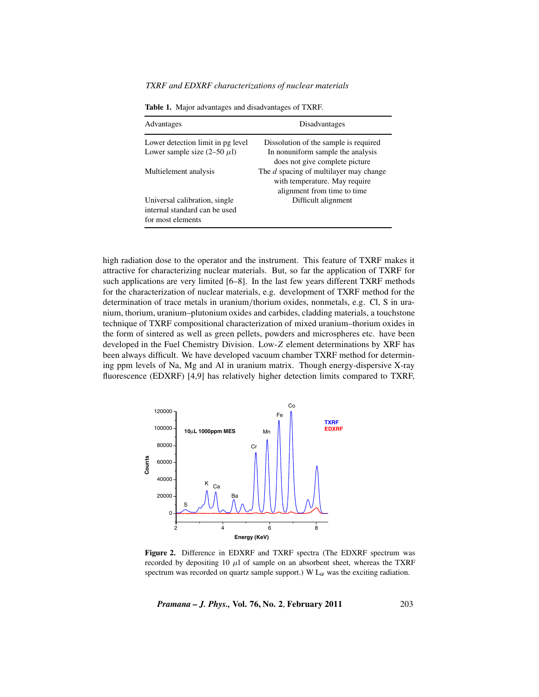| Advantages                                                                          | Disadvantages                                                                                           |
|-------------------------------------------------------------------------------------|---------------------------------------------------------------------------------------------------------|
| Lower detection limit in pg level                                                   | Dissolution of the sample is required                                                                   |
| Lower sample size $(2-50 \mu l)$                                                    | In nonuniform sample the analysis<br>does not give complete picture                                     |
| Multielement analysis                                                               | The d spacing of multilayer may change<br>with temperature. May require<br>alignment from time to time. |
| Universal calibration, single<br>internal standard can be used<br>for most elements | Difficult alignment                                                                                     |

**Table 1.** Major advantages and disadvantages of TXRF.

high radiation dose to the operator and the instrument. This feature of TXRF makes it attractive for characterizing nuclear materials. But, so far the application of TXRF for such applications are very limited [6–8]. In the last few years different TXRF methods for the characterization of nuclear materials, e.g. development of TXRF method for the determination of trace metals in uranium/thorium oxides, nonmetals, e.g. Cl, S in uranium, thorium, uranium–plutonium oxides and carbides, cladding materials, a touchstone technique of TXRF compositional characterization of mixed uranium–thorium oxides in the form of sintered as well as green pellets, powders and microspheres etc. have been developed in the Fuel Chemistry Division. Low-*Z* element determinations by XRF has been always difficult. We have developed vacuum chamber TXRF method for determining ppm levels of Na, Mg and Al in uranium matrix. Though energy-dispersive X-ray fluorescence (EDXRF) [4,9] has relatively higher detection limits compared to TXRF,



**Figure 2.** Difference in EDXRF and TXRF spectra (The EDXRF spectrum was recorded by depositing 10  $\mu$ l of sample on an absorbent sheet, whereas the TXRF spectrum was recorded on quartz sample support.) W  $L_{\alpha}$  was the exciting radiation.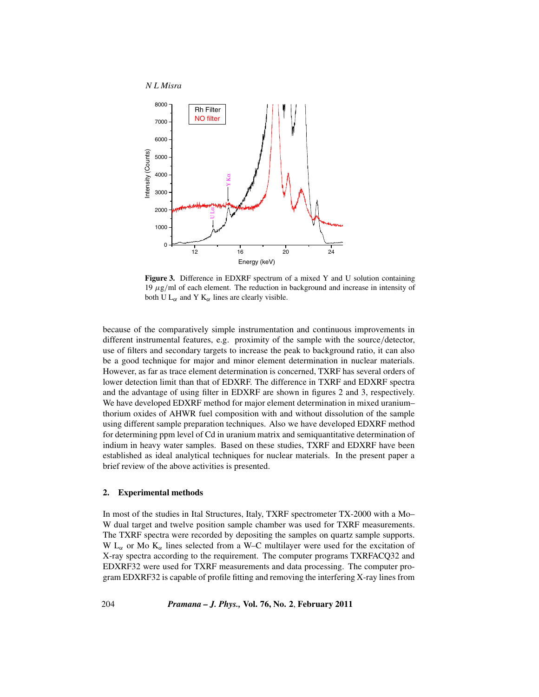

**Figure 3.** Difference in EDXRF spectrum of a mixed Y and U solution containing 19  $\mu$ g/ml of each element. The reduction in background and increase in intensity of both U  $L_{\alpha}$  and Y  $K_{\alpha}$  lines are clearly visible.

because of the comparatively simple instrumentation and continuous improvements in different instrumental features, e.g. proximity of the sample with the source/detector, use of filters and secondary targets to increase the peak to background ratio, it can also be a good technique for major and minor element determination in nuclear materials. However, as far as trace element determination is concerned, TXRF has several orders of lower detection limit than that of EDXRF. The difference in TXRF and EDXRF spectra and the advantage of using filter in EDXRF are shown in figures 2 and 3, respectively. We have developed EDXRF method for major element determination in mixed uranium– thorium oxides of AHWR fuel composition with and without dissolution of the sample using different sample preparation techniques. Also we have developed EDXRF method for determining ppm level of Cd in uranium matrix and semiquantitative determination of indium in heavy water samples. Based on these studies, TXRF and EDXRF have been established as ideal analytical techniques for nuclear materials. In the present paper a brief review of the above activities is presented.

#### **2. Experimental methods**

In most of the studies in Ital Structures, Italy, TXRF spectrometer TX-2000 with a Mo– W dual target and twelve position sample chamber was used for TXRF measurements. The TXRF spectra were recorded by depositing the samples on quartz sample supports. W L<sub>α</sub> or Mo K<sub>α</sub> lines selected from a W–C multilayer were used for the excitation of X-ray spectra according to the requirement. The computer programs TXRFACQ32 and EDXRF32 were used for TXRF measurements and data processing. The computer program EDXRF32 is capable of profile fitting and removing the interfering X-ray lines from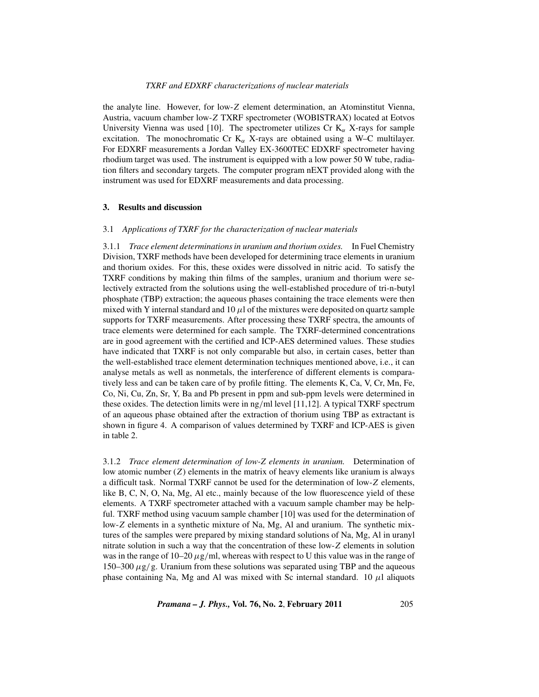the analyte line. However, for low-*Z* element determination, an Atominstitut Vienna, Austria, vacuum chamber low-*Z* TXRF spectrometer (WOBISTRAX) located at Eotvos University Vienna was used [10]. The spectrometer utilizes Cr  $K_{\alpha}$  X-rays for sample excitation. The monochromatic Cr  $K_{\alpha}$  X-rays are obtained using a W–C multilayer. For EDXRF measurements a Jordan Valley EX-3600TEC EDXRF spectrometer having rhodium target was used. The instrument is equipped with a low power 50 W tube, radiation filters and secondary targets. The computer program nEXT provided along with the instrument was used for EDXRF measurements and data processing.

### **3. Results and discussion**

#### 3.1 *Applications of TXRF for the characterization of nuclear materials*

3.1.1 *Trace element determinations in uranium and thorium oxides.* In Fuel Chemistry Division, TXRF methods have been developed for determining trace elements in uranium and thorium oxides. For this, these oxides were dissolved in nitric acid. To satisfy the TXRF conditions by making thin films of the samples, uranium and thorium were selectively extracted from the solutions using the well-established procedure of tri-n-butyl phosphate (TBP) extraction; the aqueous phases containing the trace elements were then mixed with Y internal standard and 10  $\mu$ l of the mixtures were deposited on quartz sample supports for TXRF measurements. After processing these TXRF spectra, the amounts of trace elements were determined for each sample. The TXRF-determined concentrations are in good agreement with the certified and ICP-AES determined values. These studies have indicated that TXRF is not only comparable but also, in certain cases, better than the well-established trace element determination techniques mentioned above, i.e., it can analyse metals as well as nonmetals, the interference of different elements is comparatively less and can be taken care of by profile fitting. The elements K, Ca, V, Cr, Mn, Fe, Co, Ni, Cu, Zn, Sr, Y, Ba and Pb present in ppm and sub-ppm levels were determined in these oxides. The detection limits were in ng/ml level [11,12]. A typical TXRF spectrum of an aqueous phase obtained after the extraction of thorium using TBP as extractant is shown in figure 4. A comparison of values determined by TXRF and ICP-AES is given in table 2.

3.1.2 *Trace element determination of low-Z elements in uranium.* Determination of low atomic number (*Z*) elements in the matrix of heavy elements like uranium is always a difficult task. Normal TXRF cannot be used for the determination of low-*Z* elements, like B, C, N, O, Na, Mg, Al etc., mainly because of the low fluorescence yield of these elements. A TXRF spectrometer attached with a vacuum sample chamber may be helpful. TXRF method using vacuum sample chamber [10] was used for the determination of low-*Z* elements in a synthetic mixture of Na, Mg, Al and uranium. The synthetic mixtures of the samples were prepared by mixing standard solutions of Na, Mg, Al in uranyl nitrate solution in such a way that the concentration of these low-*Z* elements in solution was in the range of 10–20  $\mu$ g/ml, whereas with respect to U this value was in the range of 150–300  $\mu$ g/g. Uranium from these solutions was separated using TBP and the aqueous phase containing Na, Mg and Al was mixed with Sc internal standard. 10  $\mu$ l aliquots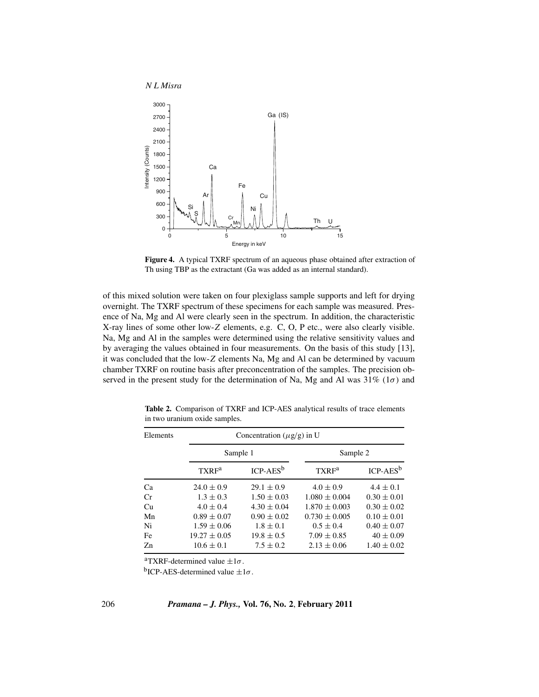

**Figure 4.** A typical TXRF spectrum of an aqueous phase obtained after extraction of Th using TBP as the extractant (Ga was added as an internal standard).

of this mixed solution were taken on four plexiglass sample supports and left for drying overnight. The TXRF spectrum of these specimens for each sample was measured. Presence of Na, Mg and Al were clearly seen in the spectrum. In addition, the characteristic X-ray lines of some other low-*Z* elements, e.g. C, O, P etc., were also clearly visible. Na, Mg and Al in the samples were determined using the relative sensitivity values and by averaging the values obtained in four measurements. On the basis of this study [13], it was concluded that the low-*Z* elements Na, Mg and Al can be determined by vacuum chamber TXRF on routine basis after preconcentration of the samples. The precision observed in the present study for the determination of Na, Mg and Al was  $31\%$  (1 $\sigma$ ) and

**Table 2.** Comparison of TXRF and ICP-AES analytical results of trace elements in two uranium oxide samples.

| Elements |                          | Concentration $(\mu g/g)$ in U |                          |                 |  |  |
|----------|--------------------------|--------------------------------|--------------------------|-----------------|--|--|
|          |                          | Sample 1                       |                          | Sample 2        |  |  |
|          | <b>TXRF</b> <sup>a</sup> | $ICP-AES^b$                    | <b>TXRF</b> <sup>a</sup> | $ICP-AES^b$     |  |  |
| Ca       | $24.0 \pm 0.9$           | $29.1 \pm 0.9$                 | $4.0 \pm 0.9$            | $4.4 \pm 0.1$   |  |  |
| Cr       | $1.3 \pm 0.3$            | $1.50 \pm 0.03$                | $1.080 \pm 0.004$        | $0.30 \pm 0.01$ |  |  |
| Cu       | $4.0 \pm 0.4$            | $4.30 \pm 0.04$                | $1.870 \pm 0.003$        | $0.30 \pm 0.02$ |  |  |
| Mn       | $0.89 \pm 0.07$          | $0.90 \pm 0.02$                | $0.730 \pm 0.005$        | $0.10 \pm 0.01$ |  |  |
| Ni       | $1.59 \pm 0.06$          | $1.8 \pm 0.1$                  | $0.5 \pm 0.4$            | $0.40 \pm 0.07$ |  |  |
| Fe       | $19.27 \pm 0.05$         | $19.8 \pm 0.5$                 | $7.09 \pm 0.85$          | $40 \pm 0.09$   |  |  |
| Zn       | $10.6 \pm 0.1$           | $7.5 \pm 0.2$                  | $2.13 \pm 0.06$          | $1.40 \pm 0.02$ |  |  |

<sup>a</sup>TXRF-determined value  $\pm 1\sigma$ .<br><sup>b</sup>ICP-AES-determined value  $\pm 1\sigma$ .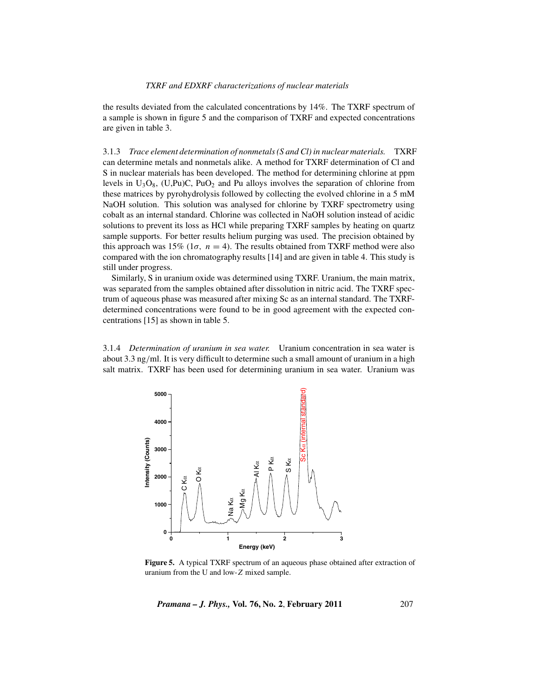the results deviated from the calculated concentrations by 14%. The TXRF spectrum of a sample is shown in figure 5 and the comparison of TXRF and expected concentrations are given in table 3.

3.1.3 *Trace element determination of nonmetals (S and Cl) in nuclear materials.* TXRF can determine metals and nonmetals alike. A method for TXRF determination of Cl and S in nuclear materials has been developed. The method for determining chlorine at ppm levels in  $U_3O_8$ , (U,Pu)C, PuO<sub>2</sub> and Pu alloys involves the separation of chlorine from these matrices by pyrohydrolysis followed by collecting the evolved chlorine in a 5 mM NaOH solution. This solution was analysed for chlorine by TXRF spectrometry using cobalt as an internal standard. Chlorine was collected in NaOH solution instead of acidic solutions to prevent its loss as HCl while preparing TXRF samples by heating on quartz sample supports. For better results helium purging was used. The precision obtained by this approach was 15% (1 $\sigma$ ,  $n = 4$ ). The results obtained from TXRF method were also compared with the ion chromatography results [14] and are given in table 4. This study is still under progress.

Similarly, S in uranium oxide was determined using TXRF. Uranium, the main matrix, was separated from the samples obtained after dissolution in nitric acid. The TXRF spectrum of aqueous phase was measured after mixing Sc as an internal standard. The TXRFdetermined concentrations were found to be in good agreement with the expected concentrations [15] as shown in table 5.

3.1.4 *Determination of uranium in sea water.* Uranium concentration in sea water is about 3.3 ng/ml. It is very difficult to determine such a small amount of uranium in a high salt matrix. TXRF has been used for determining uranium in sea water. Uranium was



**Figure 5.** A typical TXRF spectrum of an aqueous phase obtained after extraction of uranium from the U and low-*Z* mixed sample.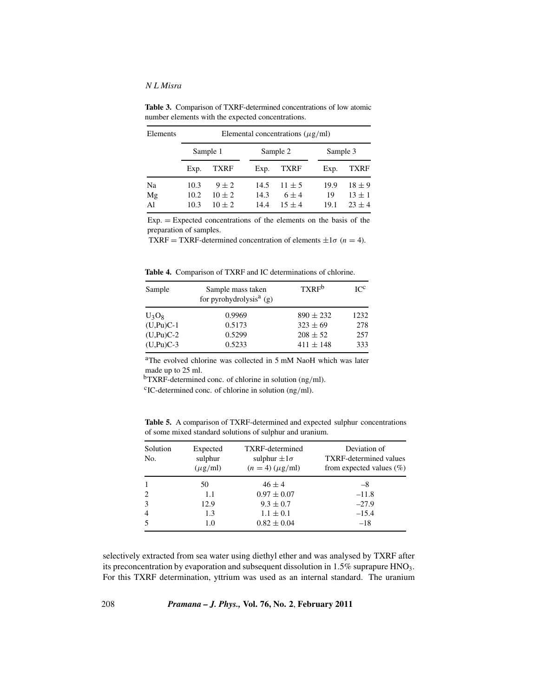| Elements | Elemental concentrations ( $\mu$ g/ml) |             |          |             |      |            |  |
|----------|----------------------------------------|-------------|----------|-------------|------|------------|--|
|          | Sample 1                               |             | Sample 2 |             |      | Sample 3   |  |
|          | Exp.                                   | <b>TXRF</b> | Exp.     | <b>TXRF</b> | Exp. | TXRF       |  |
| Na       | 10.3                                   | $9 \pm 2$   | 14.5     | $11 \pm 5$  | 19.9 | $18 \pm 9$ |  |
| Mg       | 10.2                                   | $10 \pm 2$  | 14.3     | $6 \pm 4$   | 19   | $13 \pm 1$ |  |
| Al       | 10.3                                   | $10 \pm 2$  | 14.4     | $15 + 4$    | 19.1 | $23 \pm 4$ |  |

**Table 3.** Comparison of TXRF-determined concentrations of low atomic number elements with the expected concentrations.

 $Exp. = Expected concentrations of the elements on the basis of the$ preparation of samples.

TXRF = TXRF-determined concentration of elements  $\pm 1\sigma$  ( $n = 4$ ).

**Table 4.** Comparison of TXRF and IC determinations of chlorine.

| Sample       | Sample mass taken<br>for pyrohydrolysis <sup>a</sup> (g) | TXRF <sup>b</sup> | $IC^c$ |
|--------------|----------------------------------------------------------|-------------------|--------|
| $U_3O_8$     | 0.9969                                                   | $890 \pm 232$     | 1232   |
| $(U, Pu)C-1$ | 0.5173                                                   | $323 \pm 69$      | 278    |
| $(U,Pu)C-2$  | 0.5299                                                   | $208 \pm 52$      | 257    |
| $(U.Pu)C-3$  | 0.5233                                                   | $411 \pm 148$     | 333    |

aThe evolved chlorine was collected in 5 mM NaoH which was later made up to 25 ml.

 $b$ TXRF-determined conc. of chlorine in solution (ng/ml).

 ${}^{\circ}$ IC-determined conc. of chlorine in solution (ng/ml).

**Table 5.** A comparison of TXRF-determined and expected sulphur concentrations of some mixed standard solutions of sulphur and uranium.

| Solution<br>No. | Expected<br>sulphur<br>$(\mu$ g/ml) | TXRF-determined<br>sulphur $\pm 1\sigma$<br>$(n = 4)$ ( $\mu$ g/ml) | Deviation of<br><b>TXRF-determined values</b><br>from expected values $(\% )$ |
|-----------------|-------------------------------------|---------------------------------------------------------------------|-------------------------------------------------------------------------------|
|                 | 50                                  | $46 \pm 4$                                                          | $-8$                                                                          |
| $\overline{c}$  | 1.1                                 | $0.97 \pm 0.07$                                                     | $-11.8$                                                                       |
| 3               | 12.9                                | $9.3 \pm 0.7$                                                       | $-27.9$                                                                       |
|                 | 1.3                                 | $1.1 \pm 0.1$                                                       | $-15.4$                                                                       |
|                 | 1.0                                 | $0.82 \pm 0.04$                                                     | $-18$                                                                         |

selectively extracted from sea water using diethyl ether and was analysed by TXRF after its preconcentration by evaporation and subsequent dissolution in 1.5% suprapure HNO<sub>3</sub>. For this TXRF determination, yttrium was used as an internal standard. The uranium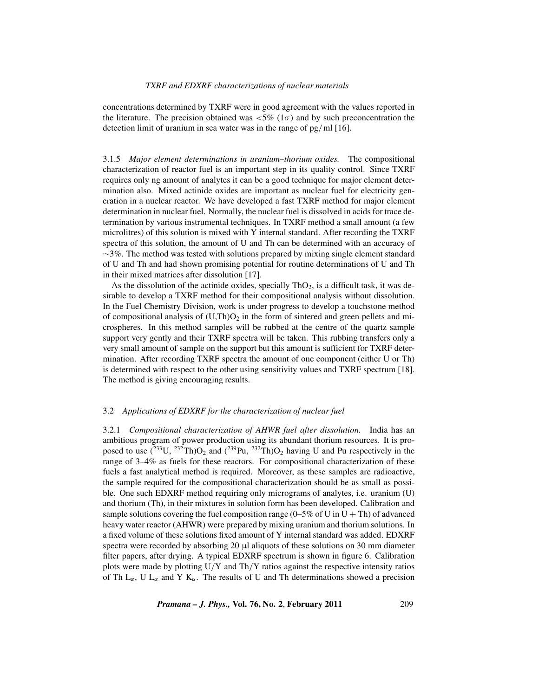concentrations determined by TXRF were in good agreement with the values reported in the literature. The precision obtained was  $\lt 5\%$  (1 $\sigma$ ) and by such preconcentration the detection limit of uranium in sea water was in the range of pg/ml [16].

3.1.5 *Major element determinations in uranium–thorium oxides.* The compositional characterization of reactor fuel is an important step in its quality control. Since TXRF requires only ng amount of analytes it can be a good technique for major element determination also. Mixed actinide oxides are important as nuclear fuel for electricity generation in a nuclear reactor. We have developed a fast TXRF method for major element determination in nuclear fuel. Normally, the nuclear fuel is dissolved in acids for trace determination by various instrumental techniques. In TXRF method a small amount (a few microlitres) of this solution is mixed with Y internal standard. After recording the TXRF spectra of this solution, the amount of U and Th can be determined with an accuracy of  $~\sim$ 3%. The method was tested with solutions prepared by mixing single element standard of U and Th and had shown promising potential for routine determinations of U and Th in their mixed matrices after dissolution [17].

As the dissolution of the actinide oxides, specially  $ThO<sub>2</sub>$ , is a difficult task, it was desirable to develop a TXRF method for their compositional analysis without dissolution. In the Fuel Chemistry Division, work is under progress to develop a touchstone method of compositional analysis of  $(U, Th)O<sub>2</sub>$  in the form of sintered and green pellets and microspheres. In this method samples will be rubbed at the centre of the quartz sample support very gently and their TXRF spectra will be taken. This rubbing transfers only a very small amount of sample on the support but this amount is sufficient for TXRF determination. After recording TXRF spectra the amount of one component (either U or Th) is determined with respect to the other using sensitivity values and TXRF spectrum [18]. The method is giving encouraging results.

# 3.2 *Applications of EDXRF for the characterization of nuclear fuel*

3.2.1 *Compositional characterization of AHWR fuel after dissolution.* India has an ambitious program of power production using its abundant thorium resources. It is proposed to use  $(233)$ U,  $232$ Th)O<sub>2</sub> and  $(239)$ Pu,  $232$ Th)O<sub>2</sub> having U and Pu respectively in the range of 3–4% as fuels for these reactors. For compositional characterization of these fuels a fast analytical method is required. Moreover, as these samples are radioactive, the sample required for the compositional characterization should be as small as possible. One such EDXRF method requiring only micrograms of analytes, i.e. uranium (U) and thorium (Th), in their mixtures in solution form has been developed. Calibration and sample solutions covering the fuel composition range (0–5% of U in U + Th) of advanced heavy water reactor (AHWR) were prepared by mixing uranium and thorium solutions. In a fixed volume of these solutions fixed amount of Y internal standard was added. EDXRF spectra were recorded by absorbing  $20 \mu l$  aliquots of these solutions on 30 mm diameter filter papers, after drying. A typical EDXRF spectrum is shown in figure 6. Calibration plots were made by plotting U/Y and Th/Y ratios against the respective intensity ratios of Th  $L_{\alpha}$ , U  $L_{\alpha}$  and Y  $K_{\alpha}$ . The results of U and Th determinations showed a precision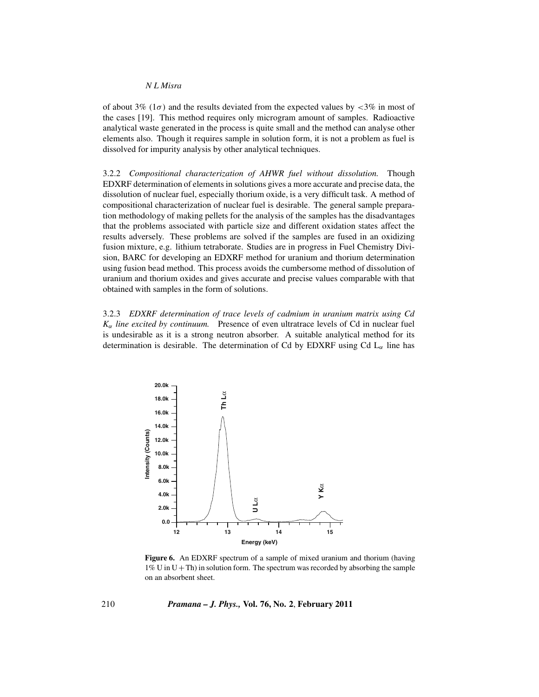of about 3% ( $1\sigma$ ) and the results deviated from the expected values by  $\langle 3\% \rangle$  in most of the cases [19]. This method requires only microgram amount of samples. Radioactive analytical waste generated in the process is quite small and the method can analyse other elements also. Though it requires sample in solution form, it is not a problem as fuel is dissolved for impurity analysis by other analytical techniques.

3.2.2 *Compositional characterization of AHWR fuel without dissolution.* Though EDXRF determination of elements in solutions gives a more accurate and precise data, the dissolution of nuclear fuel, especially thorium oxide, is a very difficult task. A method of compositional characterization of nuclear fuel is desirable. The general sample preparation methodology of making pellets for the analysis of the samples has the disadvantages that the problems associated with particle size and different oxidation states affect the results adversely. These problems are solved if the samples are fused in an oxidizing fusion mixture, e.g. lithium tetraborate. Studies are in progress in Fuel Chemistry Division, BARC for developing an EDXRF method for uranium and thorium determination using fusion bead method. This process avoids the cumbersome method of dissolution of uranium and thorium oxides and gives accurate and precise values comparable with that obtained with samples in the form of solutions.

3.2.3 *EDXRF determination of trace levels of cadmium in uranium matrix using Cd*  $K_{\alpha}$  *line excited by continuum.* Presence of even ultratrace levels of Cd in nuclear fuel is undesirable as it is a strong neutron absorber. A suitable analytical method for its determination is desirable. The determination of Cd by EDXRF using Cd  $L_{\alpha}$  line has



Figure 6. An EDXRF spectrum of a sample of mixed uranium and thorium (having  $1\%$  U in U + Th) in solution form. The spectrum was recorded by absorbing the sample on an absorbent sheet.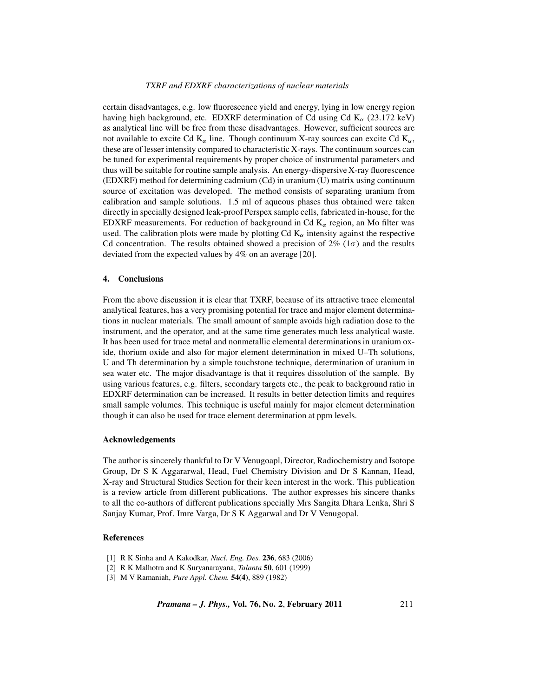certain disadvantages, e.g. low fluorescence yield and energy, lying in low energy region having high background, etc. EDXRF determination of Cd using Cd  $K_{\alpha}$  (23.172 keV) as analytical line will be free from these disadvantages. However, sufficient sources are not available to excite Cd  $K_{\alpha}$  line. Though continuum X-ray sources can excite Cd  $K_{\alpha}$ , these are of lesser intensity compared to characteristic X-rays. The continuum sources can be tuned for experimental requirements by proper choice of instrumental parameters and thus will be suitable for routine sample analysis. An energy-dispersive X-ray fluorescence (EDXRF) method for determining cadmium (Cd) in uranium (U) matrix using continuum source of excitation was developed. The method consists of separating uranium from calibration and sample solutions. 1.5 ml of aqueous phases thus obtained were taken directly in specially designed leak-proof Perspex sample cells, fabricated in-house, for the EDXRF measurements. For reduction of background in Cd  $K_{\alpha}$  region, an Mo filter was used. The calibration plots were made by plotting Cd  $K_{\alpha}$  intensity against the respective Cd concentration. The results obtained showed a precision of  $2\%$  (1 $\sigma$ ) and the results deviated from the expected values by 4% on an average [20].

#### **4. Conclusions**

From the above discussion it is clear that TXRF, because of its attractive trace elemental analytical features, has a very promising potential for trace and major element determinations in nuclear materials. The small amount of sample avoids high radiation dose to the instrument, and the operator, and at the same time generates much less analytical waste. It has been used for trace metal and nonmetallic elemental determinations in uranium oxide, thorium oxide and also for major element determination in mixed U–Th solutions, U and Th determination by a simple touchstone technique, determination of uranium in sea water etc. The major disadvantage is that it requires dissolution of the sample. By using various features, e.g. filters, secondary targets etc., the peak to background ratio in EDXRF determination can be increased. It results in better detection limits and requires small sample volumes. This technique is useful mainly for major element determination though it can also be used for trace element determination at ppm levels.

# **Acknowledgements**

The author is sincerely thankful to Dr V Venugoapl, Director, Radiochemistry and Isotope Group, Dr S K Aggararwal, Head, Fuel Chemistry Division and Dr S Kannan, Head, X-ray and Structural Studies Section for their keen interest in the work. This publication is a review article from different publications. The author expresses his sincere thanks to all the co-authors of different publications specially Mrs Sangita Dhara Lenka, Shri S Sanjay Kumar, Prof. Imre Varga, Dr S K Aggarwal and Dr V Venugopal.

# **References**

- [1] R K Sinha and A Kakodkar, *Nucl. Eng. Des.* **236**, 683 (2006)
- [2] R K Malhotra and K Suryanarayana, *Talanta* **50**, 601 (1999)
- [3] M V Ramaniah, *Pure Appl. Chem.* **54(4)**, 889 (1982)